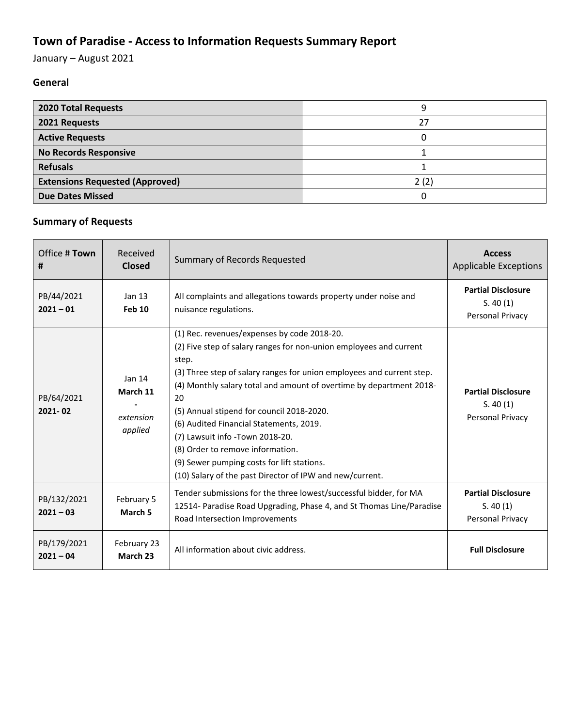## **Town of Paradise - Access to Information Requests Summary Report**

January – August 2021

## **General**

| <b>2020 Total Requests</b>             |      |
|----------------------------------------|------|
| 2021 Requests                          |      |
| <b>Active Requests</b>                 |      |
| <b>No Records Responsive</b>           |      |
| <b>Refusals</b>                        |      |
| <b>Extensions Requested (Approved)</b> | 2(2) |
| <b>Due Dates Missed</b>                |      |

## **Summary of Requests**

| Office # Town<br>#         | Received<br><b>Closed</b>                  | Summary of Records Requested                                                                                                                                                                                                                                                                                                                                                                                                                                                                                                                              | <b>Access</b><br><b>Applicable Exceptions</b>             |
|----------------------------|--------------------------------------------|-----------------------------------------------------------------------------------------------------------------------------------------------------------------------------------------------------------------------------------------------------------------------------------------------------------------------------------------------------------------------------------------------------------------------------------------------------------------------------------------------------------------------------------------------------------|-----------------------------------------------------------|
| PB/44/2021<br>$2021 - 01$  | Jan $13$<br><b>Feb 10</b>                  | All complaints and allegations towards property under noise and<br>nuisance regulations.                                                                                                                                                                                                                                                                                                                                                                                                                                                                  | <b>Partial Disclosure</b><br>S. 40(1)<br>Personal Privacy |
| PB/64/2021<br>2021-02      | Jan 14<br>March 11<br>extension<br>applied | (1) Rec. revenues/expenses by code 2018-20.<br>(2) Five step of salary ranges for non-union employees and current<br>step.<br>(3) Three step of salary ranges for union employees and current step.<br>(4) Monthly salary total and amount of overtime by department 2018-<br>20<br>(5) Annual stipend for council 2018-2020.<br>(6) Audited Financial Statements, 2019.<br>(7) Lawsuit info -Town 2018-20.<br>(8) Order to remove information.<br>(9) Sewer pumping costs for lift stations.<br>(10) Salary of the past Director of IPW and new/current. | <b>Partial Disclosure</b><br>S. 40(1)<br>Personal Privacy |
| PB/132/2021<br>$2021 - 03$ | February 5<br>March 5                      | Tender submissions for the three lowest/successful bidder, for MA<br>12514- Paradise Road Upgrading, Phase 4, and St Thomas Line/Paradise<br>Road Intersection Improvements                                                                                                                                                                                                                                                                                                                                                                               | <b>Partial Disclosure</b><br>S. 40(1)<br>Personal Privacy |
| PB/179/2021<br>$2021 - 04$ | February 23<br>March 23                    | All information about civic address.                                                                                                                                                                                                                                                                                                                                                                                                                                                                                                                      | <b>Full Disclosure</b>                                    |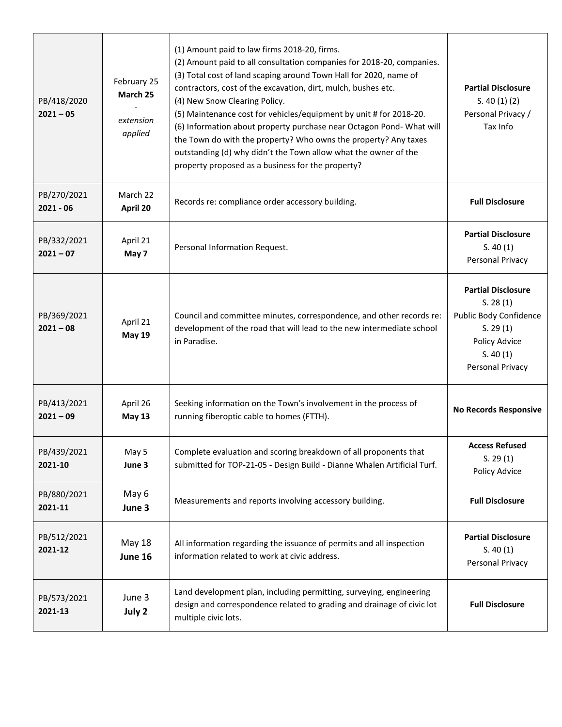| PB/418/2020<br>$2021 - 05$ | February 25<br>March 25<br>extension<br>applied | (1) Amount paid to law firms 2018-20, firms.<br>(2) Amount paid to all consultation companies for 2018-20, companies.<br>(3) Total cost of land scaping around Town Hall for 2020, name of<br>contractors, cost of the excavation, dirt, mulch, bushes etc.<br>(4) New Snow Clearing Policy.<br>(5) Maintenance cost for vehicles/equipment by unit # for 2018-20.<br>(6) Information about property purchase near Octagon Pond- What will<br>the Town do with the property? Who owns the property? Any taxes<br>outstanding (d) why didn't the Town allow what the owner of the<br>property proposed as a business for the property? | <b>Partial Disclosure</b><br>S. 40(1)(2)<br>Personal Privacy /<br>Tax Info                                                   |
|----------------------------|-------------------------------------------------|---------------------------------------------------------------------------------------------------------------------------------------------------------------------------------------------------------------------------------------------------------------------------------------------------------------------------------------------------------------------------------------------------------------------------------------------------------------------------------------------------------------------------------------------------------------------------------------------------------------------------------------|------------------------------------------------------------------------------------------------------------------------------|
| PB/270/2021<br>$2021 - 06$ | March 22<br>April 20                            | Records re: compliance order accessory building.                                                                                                                                                                                                                                                                                                                                                                                                                                                                                                                                                                                      | <b>Full Disclosure</b>                                                                                                       |
| PB/332/2021<br>$2021 - 07$ | April 21<br>May 7                               | Personal Information Request.                                                                                                                                                                                                                                                                                                                                                                                                                                                                                                                                                                                                         | <b>Partial Disclosure</b><br>S. 40(1)<br>Personal Privacy                                                                    |
| PB/369/2021<br>$2021 - 08$ | April 21<br><b>May 19</b>                       | Council and committee minutes, correspondence, and other records re:<br>development of the road that will lead to the new intermediate school<br>in Paradise.                                                                                                                                                                                                                                                                                                                                                                                                                                                                         | <b>Partial Disclosure</b><br>S. 28(1)<br>Public Body Confidence<br>S. 29(1)<br>Policy Advice<br>S. 40(1)<br>Personal Privacy |
| PB/413/2021<br>$2021 - 09$ | April 26<br><b>May 13</b>                       | Seeking information on the Town's involvement in the process of<br>running fiberoptic cable to homes (FTTH).                                                                                                                                                                                                                                                                                                                                                                                                                                                                                                                          | <b>No Records Responsive</b>                                                                                                 |
| PB/439/2021<br>2021-10     | May 5<br>June 3                                 | Complete evaluation and scoring breakdown of all proponents that<br>submitted for TOP-21-05 - Design Build - Dianne Whalen Artificial Turf.                                                                                                                                                                                                                                                                                                                                                                                                                                                                                           | <b>Access Refused</b><br>S. 29(1)<br>Policy Advice                                                                           |
| PB/880/2021<br>2021-11     | May 6<br>June 3                                 | Measurements and reports involving accessory building.                                                                                                                                                                                                                                                                                                                                                                                                                                                                                                                                                                                | <b>Full Disclosure</b>                                                                                                       |
| PB/512/2021<br>2021-12     | <b>May 18</b><br>June 16                        | All information regarding the issuance of permits and all inspection<br>information related to work at civic address.                                                                                                                                                                                                                                                                                                                                                                                                                                                                                                                 | <b>Partial Disclosure</b><br>S. 40(1)<br>Personal Privacy                                                                    |
| PB/573/2021<br>2021-13     | June 3<br>July 2                                | Land development plan, including permitting, surveying, engineering<br>design and correspondence related to grading and drainage of civic lot<br>multiple civic lots.                                                                                                                                                                                                                                                                                                                                                                                                                                                                 | <b>Full Disclosure</b>                                                                                                       |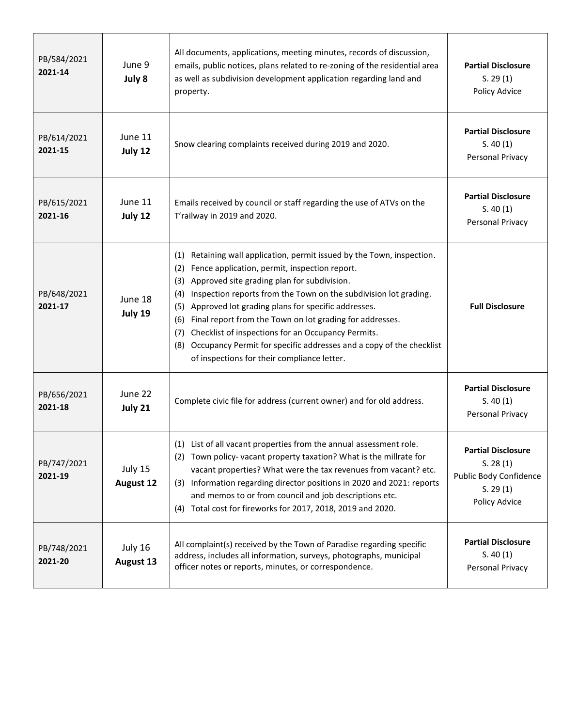| PB/584/2021<br>2021-14 | June 9<br>July 8            | All documents, applications, meeting minutes, records of discussion,<br>emails, public notices, plans related to re-zoning of the residential area<br>as well as subdivision development application regarding land and<br>property.                                                                                                                                                                                                                                                                                                                                                         | <b>Partial Disclosure</b><br>S. 29(1)<br>Policy Advice                                       |
|------------------------|-----------------------------|----------------------------------------------------------------------------------------------------------------------------------------------------------------------------------------------------------------------------------------------------------------------------------------------------------------------------------------------------------------------------------------------------------------------------------------------------------------------------------------------------------------------------------------------------------------------------------------------|----------------------------------------------------------------------------------------------|
| PB/614/2021<br>2021-15 | June 11<br>July 12          | Snow clearing complaints received during 2019 and 2020.                                                                                                                                                                                                                                                                                                                                                                                                                                                                                                                                      | <b>Partial Disclosure</b><br>S. 40(1)<br>Personal Privacy                                    |
| PB/615/2021<br>2021-16 | June 11<br>July 12          | Emails received by council or staff regarding the use of ATVs on the<br>T'railway in 2019 and 2020.                                                                                                                                                                                                                                                                                                                                                                                                                                                                                          | <b>Partial Disclosure</b><br>S. 40(1)<br>Personal Privacy                                    |
| PB/648/2021<br>2021-17 | June 18<br>July 19          | Retaining wall application, permit issued by the Town, inspection.<br>(1)<br>Fence application, permit, inspection report.<br>(2)<br>Approved site grading plan for subdivision.<br>(3)<br>Inspection reports from the Town on the subdivision lot grading.<br>(4)<br>Approved lot grading plans for specific addresses.<br>(5)<br>Final report from the Town on lot grading for addresses.<br>(6)<br>Checklist of inspections for an Occupancy Permits.<br>(7)<br>Occupancy Permit for specific addresses and a copy of the checklist<br>(8)<br>of inspections for their compliance letter. | <b>Full Disclosure</b>                                                                       |
| PB/656/2021<br>2021-18 | June 22<br>July 21          | Complete civic file for address (current owner) and for old address.                                                                                                                                                                                                                                                                                                                                                                                                                                                                                                                         | <b>Partial Disclosure</b><br>S. 40(1)<br>Personal Privacy                                    |
| PB/747/2021<br>2021-19 | July 15<br><b>August 12</b> | (1) List of all vacant properties from the annual assessment role.<br>(2) Town policy-vacant property taxation? What is the millrate for<br>vacant properties? What were the tax revenues from vacant? etc.<br>(3) Information regarding director positions in 2020 and 2021: reports<br>and memos to or from council and job descriptions etc.<br>Total cost for fireworks for 2017, 2018, 2019 and 2020.<br>(4)                                                                                                                                                                            | <b>Partial Disclosure</b><br>S. 28(1)<br>Public Body Confidence<br>S. 29(1)<br>Policy Advice |
| PB/748/2021<br>2021-20 | July 16<br>August 13        | All complaint(s) received by the Town of Paradise regarding specific<br>address, includes all information, surveys, photographs, municipal<br>officer notes or reports, minutes, or correspondence.                                                                                                                                                                                                                                                                                                                                                                                          | <b>Partial Disclosure</b><br>S. 40(1)<br>Personal Privacy                                    |